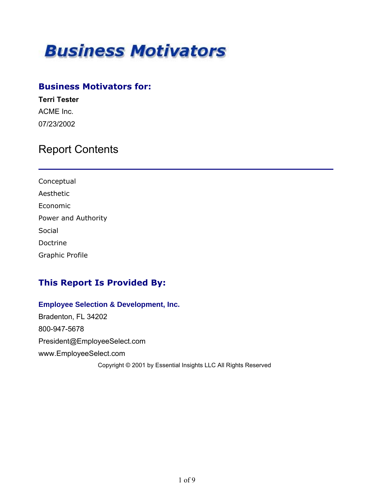

### **Business Motivators for:**

**Terri Tester** ACME Inc. 07/23/2002

## Report Contents

| Conceptual             |
|------------------------|
| Aesthetic              |
| Economic               |
| Power and Authority    |
| Social                 |
| Doctrine               |
| <b>Graphic Profile</b> |

### **This Report Is Provided By:**

### **Employee Selection & Development, Inc.** Bradenton, FL 34202 800-947-5678 President@EmployeeSelect.com www.EmployeeSelect.com Copyright © 2001 by Essential Insights LLC All Rights Reserved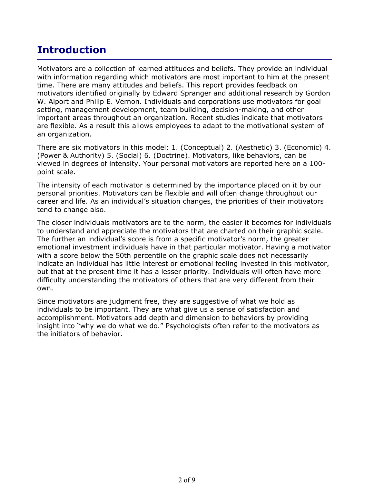## **Introduction**

Motivators are a collection of learned attitudes and beliefs. They provide an individual with information regarding which motivators are most important to him at the present time. There are many attitudes and beliefs. This report provides feedback on motivators identified originally by Edward Spranger and additional research by Gordon W. Alport and Philip E. Vernon. Individuals and corporations use motivators for goal setting, management development, team building, decision-making, and other important areas throughout an organization. Recent studies indicate that motivators are flexible. As a result this allows employees to adapt to the motivational system of an organization.

There are six motivators in this model: 1. (Conceptual) 2. (Aesthetic) 3. (Economic) 4. (Power & Authority) 5. (Social) 6. (Doctrine). Motivators, like behaviors, can be viewed in degrees of intensity. Your personal motivators are reported here on a 100 point scale.

The intensity of each motivator is determined by the importance placed on it by our personal priorities. Motivators can be flexible and will often change throughout our career and life. As an individual's situation changes, the priorities of their motivators tend to change also.

The closer individuals motivators are to the norm, the easier it becomes for individuals to understand and appreciate the motivators that are charted on their graphic scale. The further an individual's score is from a specific motivator's norm, the greater emotional investment individuals have in that particular motivator. Having a motivator with a score below the 50th percentile on the graphic scale does not necessarily indicate an individual has little interest or emotional feeling invested in this motivator, but that at the present time it has a lesser priority. Individuals will often have more difficulty understanding the motivators of others that are very different from their own.

Since motivators are judgment free, they are suggestive of what we hold as individuals to be important. They are what give us a sense of satisfaction and accomplishment. Motivators add depth and dimension to behaviors by providing insight into "why we do what we do." Psychologists often refer to the motivators as the initiators of behavior.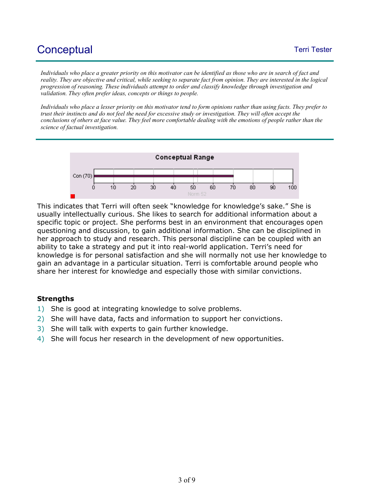# Conceptual and the conceptual term of the conceptual of the conceptual term of the conceptual of the conceptual

*Individuals who place a greater priority on this motivator can be identified as those who are in search of fact and reality. They are objective and critical, while seeking to separate fact from opinion. They are interested in the logical progression of reasoning. These individuals attempt to order and classify knowledge through investigation and validation. They often prefer ideas, concepts or things to people.* 

*Individuals who place a lesser priority on this motivator tend to form opinions rather than using facts. They prefer to trust their instincts and do not feel the need for excessive study or investigation. They will often accept the conclusions of others at face value. They feel more comfortable dealing with the emotions of people rather than the science of factual investigation.*



This indicates that Terri will often seek "knowledge for knowledge's sake." She is usually intellectually curious. She likes to search for additional information about a specific topic or project. She performs best in an environment that encourages open questioning and discussion, to gain additional information. She can be disciplined in her approach to study and research. This personal discipline can be coupled with an ability to take a strategy and put it into real-world application. Terri's need for knowledge is for personal satisfaction and she will normally not use her knowledge to gain an advantage in a particular situation. Terri is comfortable around people who share her interest for knowledge and especially those with similar convictions.

- 1) She is good at integrating knowledge to solve problems.
- 2) She will have data, facts and information to support her convictions.
- 3) She will talk with experts to gain further knowledge.
- 4) She will focus her research in the development of new opportunities.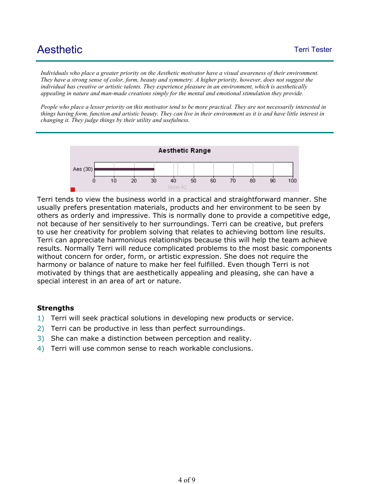# Aesthetic Tester Tester Tester Tester Tester Tester Tester Tester Tester Tester Tester Tester Tester Tester Te

*Individuals who place a greater priority on the Aesthetic motivator have a visual awareness of their environment. They have a strong sense of color, form, beauty and symmetry. A higher priority, however, does not suggest the individual has creative or artistic talents. They experience pleasure in an environment, which is aesthetically appealing in nature and man-made creations simply for the mental and emotional stimulation they provide.* 

*People who place a lesser priority on this motivator tend to be more practical. They are not necessarily interested in things having form, function and artistic beauty. They can live in their environment as it is and have little interest in changing it. They judge things by their utility and usefulness.*



Terri tends to view the business world in a practical and straightforward manner. She usually prefers presentation materials, products and her environment to be seen by others as orderly and impressive. This is normally done to provide a competitive edge, not because of her sensitively to her surroundings. Terri can be creative, but prefers to use her creativity for problem solving that relates to achieving bottom line results. Terri can appreciate harmonious relationships because this will help the team achieve results. Normally Terri will reduce complicated problems to the most basic components without concern for order, form, or artistic expression. She does not require the harmony or balance of nature to make her feel fulfilled. Even though Terri is not motivated by things that are aesthetically appealing and pleasing, she can have a special interest in an area of art or nature.

- 1) Terri will seek practical solutions in developing new products or service.
- 2) Terri can be productive in less than perfect surroundings.
- 3) She can make a distinction between perception and reality.
- 4) Terri will use common sense to reach workable conclusions.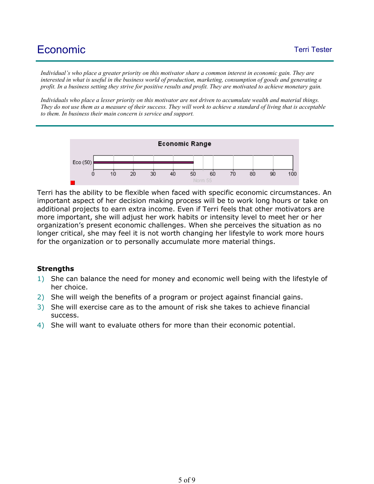*Individual's who place a greater priority on this motivator share a common interest in economic gain. They are interested in what is useful in the business world of production, marketing, consumption of goods and generating a profit. In a business setting they strive for positive results and profit. They are motivated to achieve monetary gain.* 

*Individuals who place a lesser priority on this motivator are not driven to accumulate wealth and material things. They do not use them as a measure of their success. They will work to achieve a standard of living that is acceptable to them. In business their main concern is service and support.*



Terri has the ability to be flexible when faced with specific economic circumstances. An important aspect of her decision making process will be to work long hours or take on additional projects to earn extra income. Even if Terri feels that other motivators are more important, she will adjust her work habits or intensity level to meet her or her organization's present economic challenges. When she perceives the situation as no longer critical, she may feel it is not worth changing her lifestyle to work more hours for the organization or to personally accumulate more material things.

- 1) She can balance the need for money and economic well being with the lifestyle of her choice.
- 2) She will weigh the benefits of a program or project against financial gains.
- 3) She will exercise care as to the amount of risk she takes to achieve financial success.
- 4) She will want to evaluate others for more than their economic potential.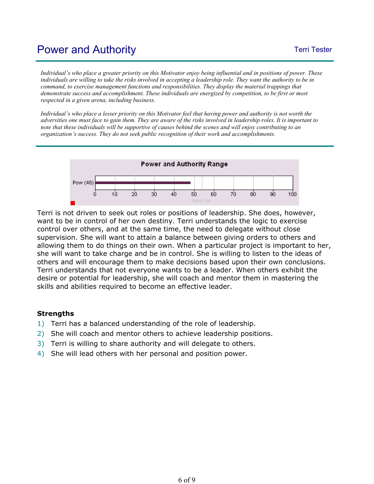## Power and Authority **Text** Tester **Text** Tester

*Individual's who place a greater priority on this Motivator enjoy being influential and in positions of power. These individuals are willing to take the risks involved in accepting a leadership role. They want the authority to be in command, to exercise management functions and responsibilities. They display the material trappings that demonstrate success and accomplishment. These individuals are energized by competition, to be first or most respected in a given arena, including business.* 

*Individual's who place a lesser priority on this Motivator feel that having power and authority is not worth the adversities one must face to gain them. They are aware of the risks involved in leadership roles. It is important to note that these individuals will be supportive of causes behind the scenes and will enjoy contributing to an organization's success. They do not seek public recognition of their work and accomplishments.*



Terri is not driven to seek out roles or positions of leadership. She does, however, want to be in control of her own destiny. Terri understands the logic to exercise control over others, and at the same time, the need to delegate without close supervision. She will want to attain a balance between giving orders to others and allowing them to do things on their own. When a particular project is important to her, she will want to take charge and be in control. She is willing to listen to the ideas of others and will encourage them to make decisions based upon their own conclusions. Terri understands that not everyone wants to be a leader. When others exhibit the desire or potential for leadership, she will coach and mentor them in mastering the skills and abilities required to become an effective leader.

- 1) Terri has a balanced understanding of the role of leadership.
- 2) She will coach and mentor others to achieve leadership positions.
- 3) Terri is willing to share authority and will delegate to others.
- 4) She will lead others with her personal and position power.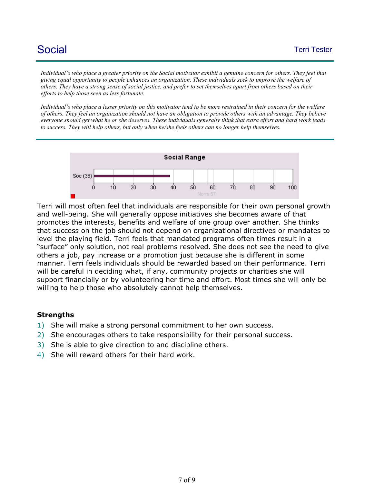## **Social** Terri Tester

Individual's who place a greater priority on the Social motivator exhibit a genuine concern for others. They feel that *giving equal opportunity to people enhances an organization. These individuals seek to improve the welfare of others. They have a strong sense of social justice, and prefer to set themselves apart from others based on their efforts to help those seen as less fortunate.* 

*Individual's who place a lesser priority on this motivator tend to be more restrained in their concern for the welfare of others. They feel an organization should not have an obligation to provide others with an advantage. They believe everyone should get what he or she deserves. These individuals generally think that extra effort and hard work leads to success. They will help others, but only when he/she feels others can no longer help themselves.*



Terri will most often feel that individuals are responsible for their own personal growth and well-being. She will generally oppose initiatives she becomes aware of that promotes the interests, benefits and welfare of one group over another. She thinks that success on the job should not depend on organizational directives or mandates to level the playing field. Terri feels that mandated programs often times result in a "surface" only solution, not real problems resolved. She does not see the need to give others a job, pay increase or a promotion just because she is different in some manner. Terri feels individuals should be rewarded based on their performance. Terri will be careful in deciding what, if any, community projects or charities she will support financially or by volunteering her time and effort. Most times she will only be willing to help those who absolutely cannot help themselves.

- 1) She will make a strong personal commitment to her own success.
- 2) She encourages others to take responsibility for their personal success.
- 3) She is able to give direction to and discipline others.
- 4) She will reward others for their hard work.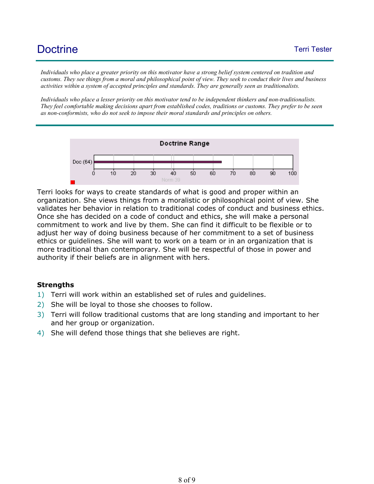*Individuals who place a greater priority on this motivator have a strong belief system centered on tradition and customs. They see things from a moral and philosophical point of view. They seek to conduct their lives and business activities within a system of accepted principles and standards. They are generally seen as traditionalists.* 

*Individuals who place a lesser priority on this motivator tend to be independent thinkers and non-traditionalists. They feel comfortable making decisions apart from established codes, traditions or customs. They prefer to be seen as non-conformists, who do not seek to impose their moral standards and principles on others.*



Terri looks for ways to create standards of what is good and proper within an organization. She views things from a moralistic or philosophical point of view. She validates her behavior in relation to traditional codes of conduct and business ethics. Once she has decided on a code of conduct and ethics, she will make a personal commitment to work and live by them. She can find it difficult to be flexible or to adjust her way of doing business because of her commitment to a set of business ethics or guidelines. She will want to work on a team or in an organization that is more traditional than contemporary. She will be respectful of those in power and authority if their beliefs are in alignment with hers.

- 1) Terri will work within an established set of rules and guidelines.
- 2) She will be loyal to those she chooses to follow.
- 3) Terri will follow traditional customs that are long standing and important to her and her group or organization.
- 4) She will defend those things that she believes are right.